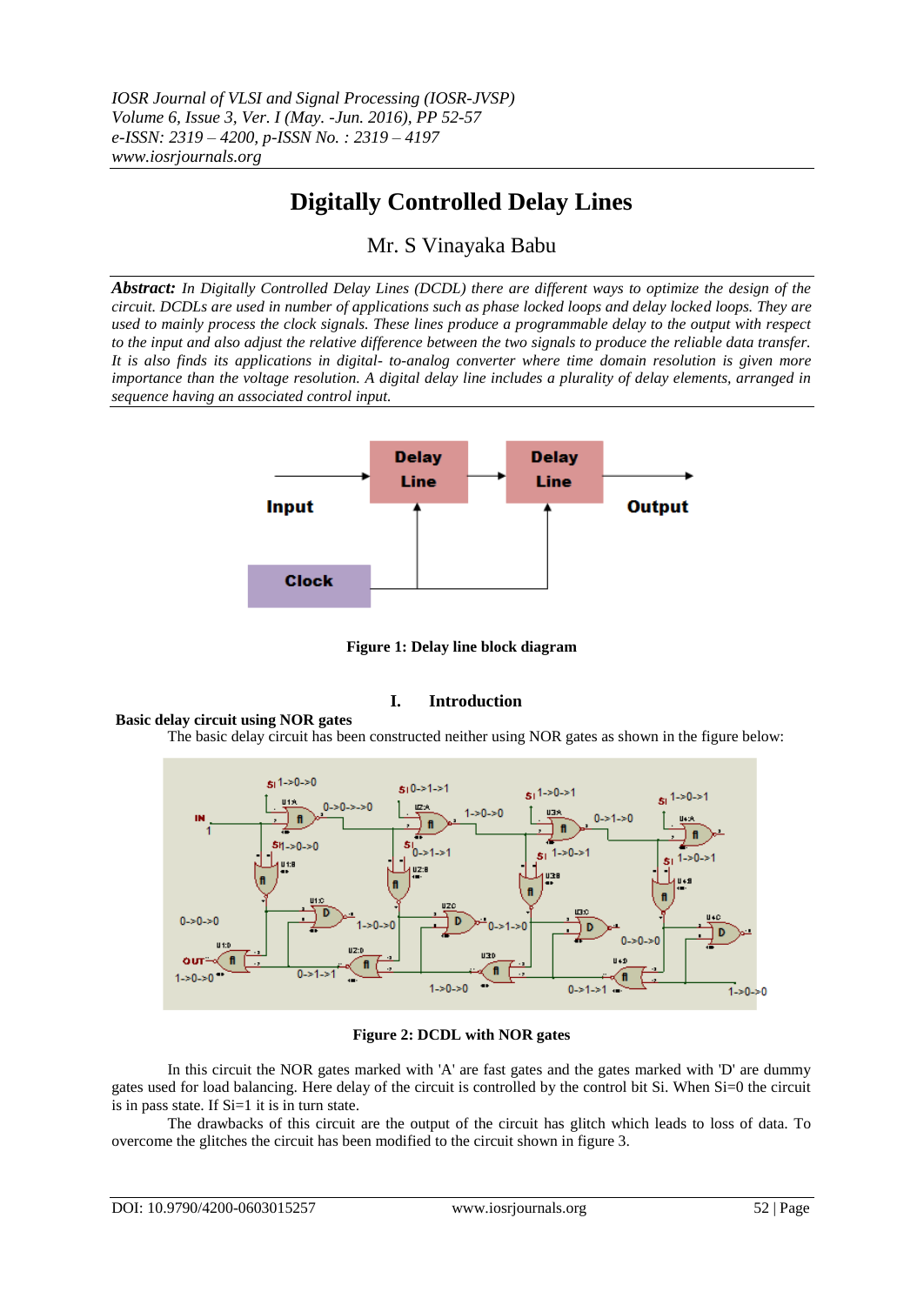*IOSR Journal of VLSI and Signal Processing (IOSR-JVSP) Volume 6, Issue 3, Ver. I (May. -Jun. 2016), PP 52-57 e-ISSN: 2319 – 4200, p-ISSN No. : 2319 – 4197 www.iosrjournals.org*

# **Digitally Controlled Delay Lines**

Mr. S Vinayaka Babu

*Abstract: In Digitally Controlled Delay Lines (DCDL) there are different ways to optimize the design of the circuit. DCDLs are used in number of applications such as phase locked loops and delay locked loops. They are used to mainly process the clock signals. These lines produce a programmable delay to the output with respect to the input and also adjust the relative difference between the two signals to produce the reliable data transfer. It is also finds its applications in digital- to-analog converter where time domain resolution is given more importance than the voltage resolution. A digital delay line includes a plurality of delay elements, arranged in sequence having an associated control input.*



**Figure 1: Delay line block diagram**

# **I. Introduction**

# **Basic delay circuit using NOR gates**

The basic delay circuit has been constructed neither using NOR gates as shown in the figure below:



#### **Figure 2: DCDL with NOR gates**

In this circuit the NOR gates marked with 'A' are fast gates and the gates marked with 'D' are dummy gates used for load balancing. Here delay of the circuit is controlled by the control bit Si. When Si=0 the circuit is in pass state. If  $Si=1$  it is in turn state.

The drawbacks of this circuit are the output of the circuit has glitch which leads to loss of data. To overcome the glitches the circuit has been modified to the circuit shown in figure 3.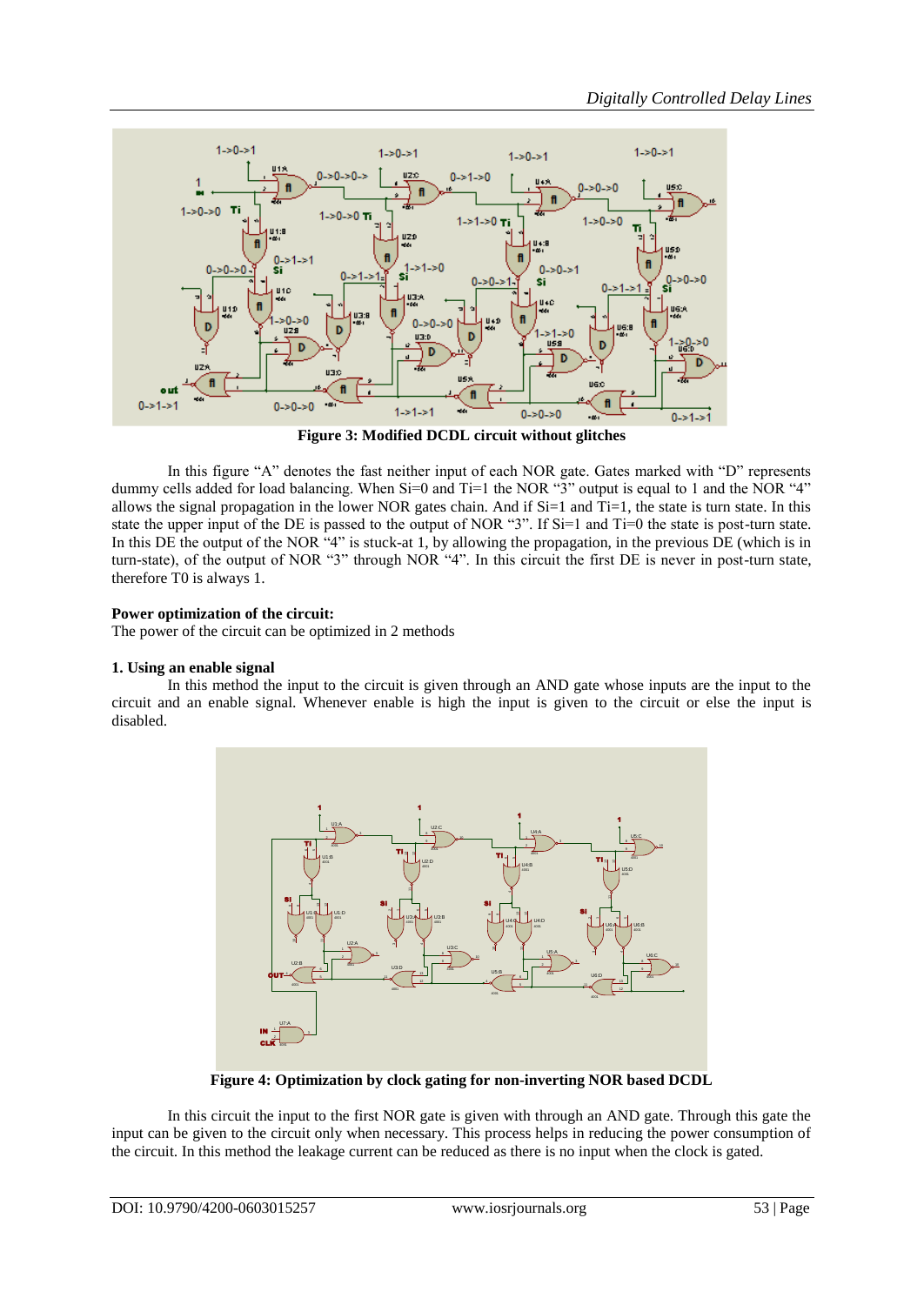

**Figure 3: Modified DCDL circuit without glitches**

In this figure "A" denotes the fast neither input of each NOR gate. Gates marked with "D" represents dummy cells added for load balancing. When Si=0 and Ti=1 the NOR "3" output is equal to 1 and the NOR "4" allows the signal propagation in the lower NOR gates chain. And if  $Si=1$  and  $Ti=1$ , the state is turn state. In this state the upper input of the DE is passed to the output of NOR "3". If Si=1 and Ti=0 the state is post-turn state. In this DE the output of the NOR "4" is stuck-at 1, by allowing the propagation, in the previous  $\overrightarrow{DE}$  (which is in turn-state), of the output of NOR "3" through NOR "4". In this circuit the first DE is never in post-turn state, therefore T0 is always 1.

# **Power optimization of the circuit:**

The power of the circuit can be optimized in 2 methods

# **1. Using an enable signal**

In this method the input to the circuit is given through an AND gate whose inputs are the input to the circuit and an enable signal. Whenever enable is high the input is given to the circuit or else the input is disabled.



**Figure 4: Optimization by clock gating for non-inverting NOR based DCDL**

In this circuit the input to the first NOR gate is given with through an AND gate. Through this gate the input can be given to the circuit only when necessary. This process helps in reducing the power consumption of the circuit. In this method the leakage current can be reduced as there is no input when the clock is gated.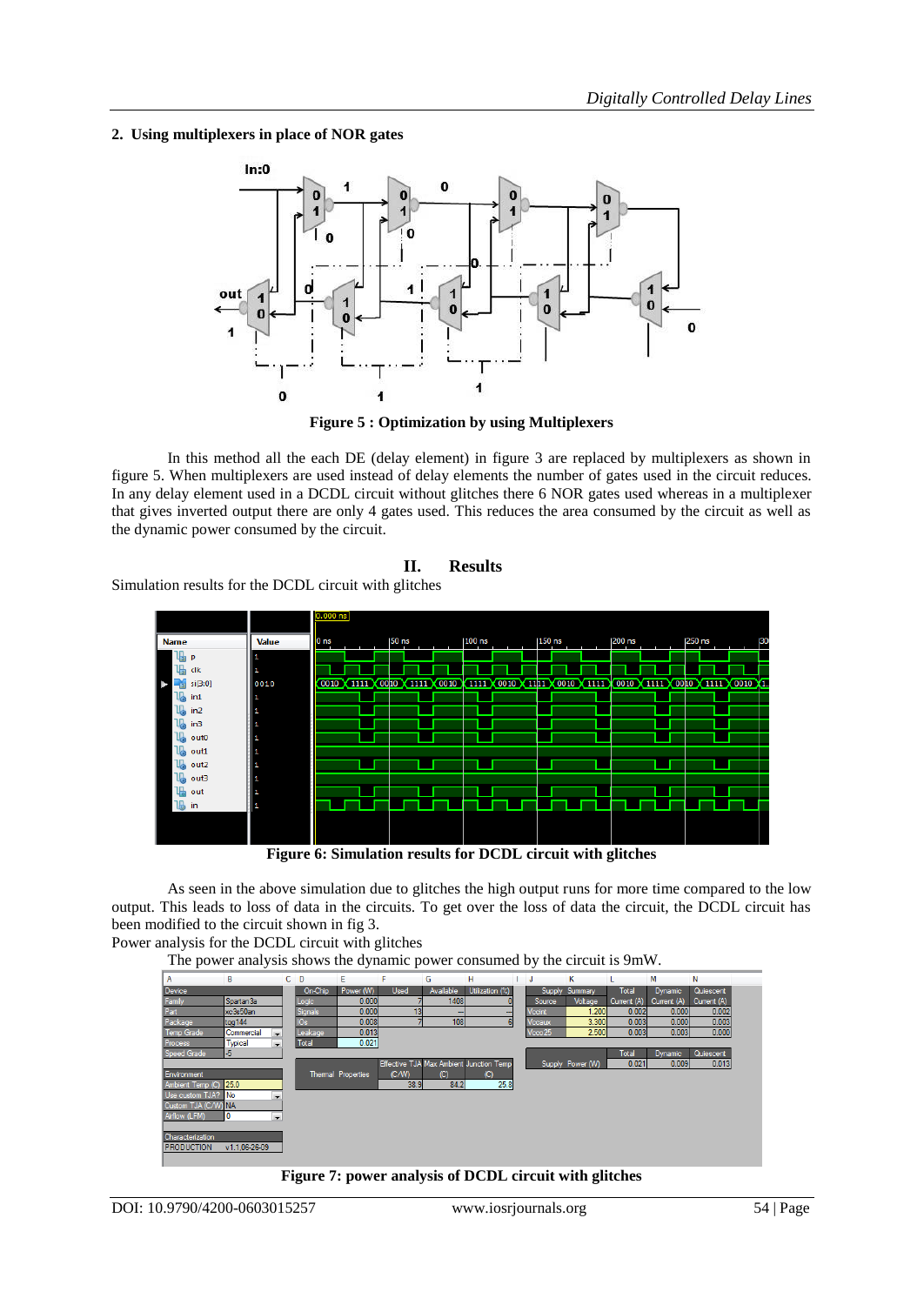**2. Using multiplexers in place of NOR gates**



**Figure 5 : Optimization by using Multiplexers**

In this method all the each DE (delay element) in figure 3 are replaced by multiplexers as shown in figure 5. When multiplexers are used instead of delay elements the number of gates used in the circuit reduces. In any delay element used in a DCDL circuit without glitches there 6 NOR gates used whereas in a multiplexer that gives inverted output there are only 4 gates used. This reduces the area consumed by the circuit as well as the dynamic power consumed by the circuit.



Simulation results for the DCDL circuit with glitches



**Figure 6: Simulation results for DCDL circuit with glitches**

As seen in the above simulation due to glitches the high output runs for more time compared to the low output. This leads to loss of data in the circuits. To get over the loss of data the circuit, the DCDL circuit has been modified to the circuit shown in fig 3.

Power analysis for the DCDL circuit with glitches

The power analysis shows the dynamic power consumed by the circuit is 9mW.



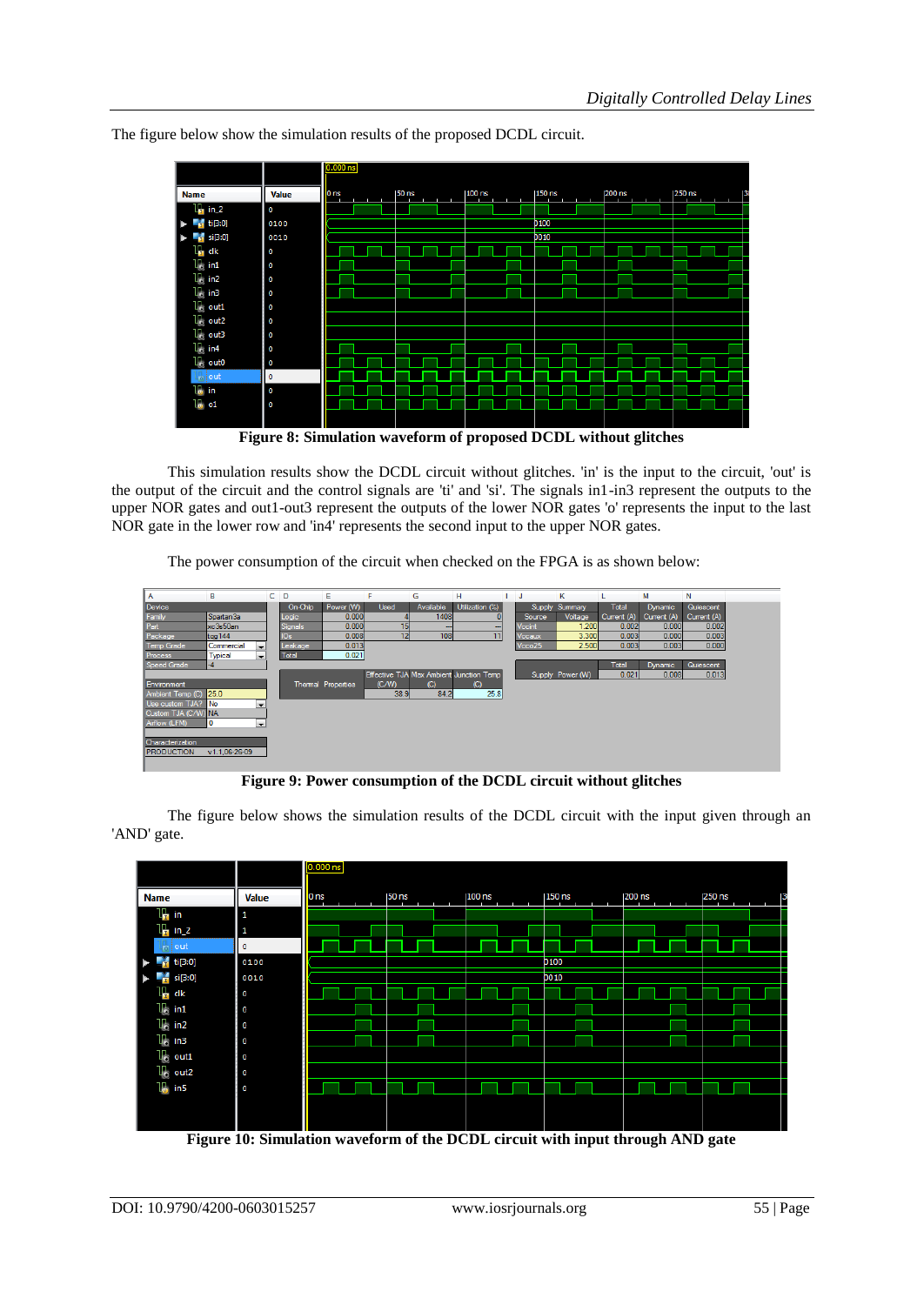|                                                                                                                                               |              | $0.000$ ns                                                      |                   |          |             |          |                |  |
|-----------------------------------------------------------------------------------------------------------------------------------------------|--------------|-----------------------------------------------------------------|-------------------|----------|-------------|----------|----------------|--|
| <b>Name</b>                                                                                                                                   | <b>Value</b> | 0 <sub>ns</sub>                                                 | $ 50 \text{ ns} $ | $100$ ns | $150$ ns    | $200$ ns | $ 250$ ns<br>В |  |
| $\frac{11}{2}$ in 2                                                                                                                           | O            |                                                                 |                   |          |             |          |                |  |
| $\blacktriangleright$ $\blacksquare$ $\blacksquare$ $\blacksquare$ $\blacksquare$ $\blacksquare$ $\blacksquare$ $\blacksquare$ $\blacksquare$ | 0100         |                                                                 |                   |          | <b>b100</b> |          |                |  |
| $\blacktriangleright$ $\blacksquare$ si[3:0]                                                                                                  | 0010         |                                                                 |                   |          | <b>bo10</b> |          |                |  |
| $\mathbb{I}_{\mathbb{R}}$ dk                                                                                                                  | O            |                                                                 |                   |          |             |          |                |  |
| $\mathbb{U}_0$ in 1                                                                                                                           | $\circ$      |                                                                 |                   |          |             |          |                |  |
| $\mathbf{u}$ in 2                                                                                                                             | O            |                                                                 |                   |          |             |          |                |  |
| $\mathbb{U}$ in3                                                                                                                              | O            |                                                                 |                   |          |             |          |                |  |
| $\mathbb{U}$ out1                                                                                                                             | O            |                                                                 |                   |          |             |          |                |  |
| $\mathbb{U}_0$ out2                                                                                                                           | O            |                                                                 |                   |          |             |          |                |  |
| $\mathbb{U}_0$ out3                                                                                                                           | O            |                                                                 |                   |          |             |          |                |  |
| $U_2$ in 4                                                                                                                                    | O            |                                                                 |                   |          |             |          |                |  |
| $U_0$ out0                                                                                                                                    | O            |                                                                 |                   |          |             |          |                |  |
| $\lfloor \frac{1}{10} \rfloor$ out                                                                                                            | 0            |                                                                 |                   |          |             |          |                |  |
| $16$ in                                                                                                                                       | O            |                                                                 |                   |          |             |          |                |  |
| $\mathbb{L}_{\mathbf{0}}$ of                                                                                                                  | $\circ$      |                                                                 |                   |          |             |          |                |  |
|                                                                                                                                               |              |                                                                 |                   |          |             |          |                |  |
|                                                                                                                                               |              | Figure 8: Simulation waveform of proposed DCDL without glitches |                   |          |             |          |                |  |

The figure below show the simulation results of the proposed DCDL circuit.

**Figure 8: Simulation waveform of proposed DCDL without glitches**

This simulation results show the DCDL circuit without glitches. 'in' is the input to the circuit, 'out' is the output of the circuit and the control signals are 'ti' and 'si'. The signals in1-in3 represent the outputs to the upper NOR gates and out1-out3 represent the outputs of the lower NOR gates 'o' represents the input to the last NOR gate in the lower row and 'in4' represents the second input to the upper NOR gates.

The power consumption of the circuit when checked on the FPGA is as shown below:

| A                     | в                                          | c. | D               | Ε                         |             | G            | н                                       | IJ            | к                |              | М              | N           |
|-----------------------|--------------------------------------------|----|-----------------|---------------------------|-------------|--------------|-----------------------------------------|---------------|------------------|--------------|----------------|-------------|
| Device                |                                            |    | On-Chip         | Power (W)                 | <b>Used</b> | Available    | Utilization (%)                         | Supply        | Summary          | <b>Total</b> | <b>Dynamic</b> | Quiescent   |
| Family                | Spartan3a                                  |    | Logic           | 0.000                     |             | 1408         |                                         | Source        | Voltage          | Current (A)  | Current (A)    | Current (A) |
| Part                  | xc3s50an                                   |    | Signals         | 0.000                     | 15          | -            | $-$                                     | <b>Vccint</b> | 1.200            | 0.002        | 0.000          | 0.002       |
| Package               | tgg144                                     |    | IO <sub>s</sub> | 0.008                     | 12          | 108          | 11                                      | <b>Vecaux</b> | 3.300            | 0.003        | 0.000          | 0.003       |
| <b>Temp Grade</b>     | Commercial<br>$\overline{\phantom{0}}$     |    | Leakage         | 0.013                     |             |              |                                         | Vcco25        | 2.500            | 0.003        | 0.003          | 0.000       |
| <b>Process</b>        | <b>Typical</b><br>$\overline{\phantom{0}}$ |    | Total           | 0.021                     |             |              |                                         |               |                  |              |                |             |
| Speed Grade           | -4                                         |    |                 |                           |             |              |                                         |               |                  | Total        | <b>Dynamic</b> | Quiescent   |
|                       |                                            |    |                 |                           |             |              | Effective TJA Max Ambient Junction Temp |               | Supply Power (W) | 0.021        | 0.008          | 0.013       |
| <b>Environment</b>    |                                            |    |                 | <b>Thermal Properties</b> | (C/W)       | $\mathbb{C}$ | $\mathbb{C}$                            |               |                  |              |                |             |
| Ambient Temp (C) 25.0 |                                            |    |                 |                           | 38.9        | 84.2         | 25.8                                    |               |                  |              |                |             |
| Use custom TJA?       | l No<br>l v                                |    |                 |                           |             |              |                                         |               |                  |              |                |             |
| Custom TJA (C/W) NA   |                                            |    |                 |                           |             |              |                                         |               |                  |              |                |             |
| Airflow (LFM)         | 0<br>$\overline{\phantom{a}}$              |    |                 |                           |             |              |                                         |               |                  |              |                |             |
|                       |                                            |    |                 |                           |             |              |                                         |               |                  |              |                |             |
| Characterization      |                                            |    |                 |                           |             |              |                                         |               |                  |              |                |             |
| <b>PRODUCTION</b>     | v1.1.06-26-09                              |    |                 |                           |             |              |                                         |               |                  |              |                |             |
|                       |                                            |    |                 |                           |             |              |                                         |               |                  |              |                |             |

**Figure 9: Power consumption of the DCDL circuit without glitches**

The figure below shows the simulation results of the DCDL circuit with the input given through an 'AND' gate.

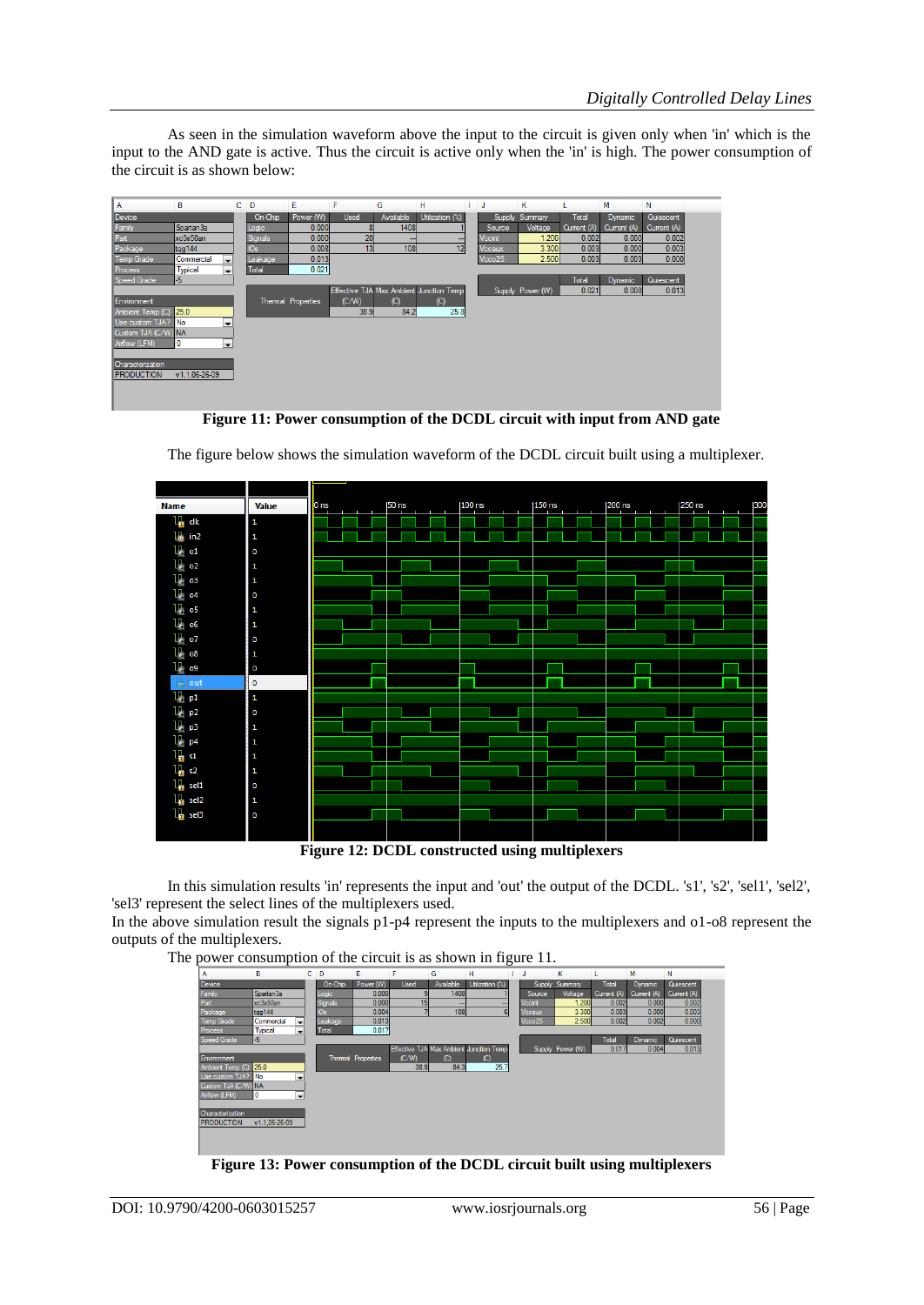As seen in the simulation waveform above the input to the circuit is given only when 'in' which is the input to the AND gate is active. Thus the circuit is active only when the 'in' is high. The power consumption of the circuit is as shown below:

| А                   | B                                      | $C$ D        | E                  | F           | G            | н                                       | ı. | - J                | к                |              | M              | N                |
|---------------------|----------------------------------------|--------------|--------------------|-------------|--------------|-----------------------------------------|----|--------------------|------------------|--------------|----------------|------------------|
| Device              |                                        | On-Chip      | Power (W)          | <b>Used</b> | Available    | Utilization (%)                         |    | Supply             | Summary          | <b>Total</b> | <b>Dynamic</b> | <b>Quiescent</b> |
| Family              | Spartan3a                              | Logic        | 0.000              | 8           | 1408         |                                         |    | Source             | Voltage          | Current (A)  | Current (A)    | Current (A)      |
| Part                | xc3s50an                               | Signals      | 0.000              | 20          | --           | --                                      |    | <b>Vccint</b>      | 1.200            | 0.002        | 0.000          | 0.002            |
| Package             | tgg144                                 | IOs          | 0.008              | 13          | 108          | 12                                      |    | Vccaux             | 3.300            | 0.003        | 0.000          | 0.003            |
| <b>Temp Grade</b>   | Commercial<br>$\overline{\phantom{a}}$ | Leakage      | 0.013              |             |              |                                         |    | Vcco <sub>25</sub> | 2.500            | 0.003        | 0.003          | 0.000            |
| Process             | Typical<br>$\overline{\phantom{a}}$    | <b>Total</b> | 0.021              |             |              |                                         |    |                    |                  |              |                |                  |
| Speed Grade         | $-5$                                   |              |                    |             |              |                                         |    |                    |                  | <b>Total</b> | <b>Dynamic</b> | Quiescent        |
|                     |                                        |              |                    |             |              | Effective TJA Max Ambient Junction Temp |    |                    | Supply Power (W) | 0.021        | 0.008          | 0.013            |
| Environment         |                                        |              | Thermal Properties | (C/W)       | $\mathbb{C}$ | $\mathcal{C}$                           |    |                    |                  |              |                |                  |
| Ambient Temp (C)    | 25.0                                   |              |                    | 38.9        | 84.2         | 25.8                                    |    |                    |                  |              |                |                  |
| Use custom TJA?     | No<br>$\overline{\phantom{a}}$         |              |                    |             |              |                                         |    |                    |                  |              |                |                  |
| Custom TJA (C/W) NA |                                        |              |                    |             |              |                                         |    |                    |                  |              |                |                  |
| Airflow (LFM)       | 10<br>$\blacktriangledown$             |              |                    |             |              |                                         |    |                    |                  |              |                |                  |
|                     |                                        |              |                    |             |              |                                         |    |                    |                  |              |                |                  |
| Characterization    |                                        |              |                    |             |              |                                         |    |                    |                  |              |                |                  |
| <b>PRODUCTION</b>   | v1.1.06-26-09                          |              |                    |             |              |                                         |    |                    |                  |              |                |                  |
|                     |                                        |              |                    |             |              |                                         |    |                    |                  |              |                |                  |
|                     |                                        |              |                    |             |              |                                         |    |                    |                  |              |                |                  |
|                     |                                        |              |                    |             |              |                                         |    |                    |                  |              |                |                  |

**Figure 11: Power consumption of the DCDL circuit with input from AND gate**



The figure below shows the simulation waveform of the DCDL circuit built using a multiplexer.

**Figure 12: DCDL constructed using multiplexers**

In this simulation results 'in' represents the input and 'out' the output of the DCDL. 's1', 's2', 'sel1', 'sel2', 'sel3' represent the select lines of the multiplexers used.

In the above simulation result the signals p1-p4 represent the inputs to the multiplexers and o1-o8 represent the outputs of the multiplexers.

The power consumption of the circuit is as shown in figure 11.